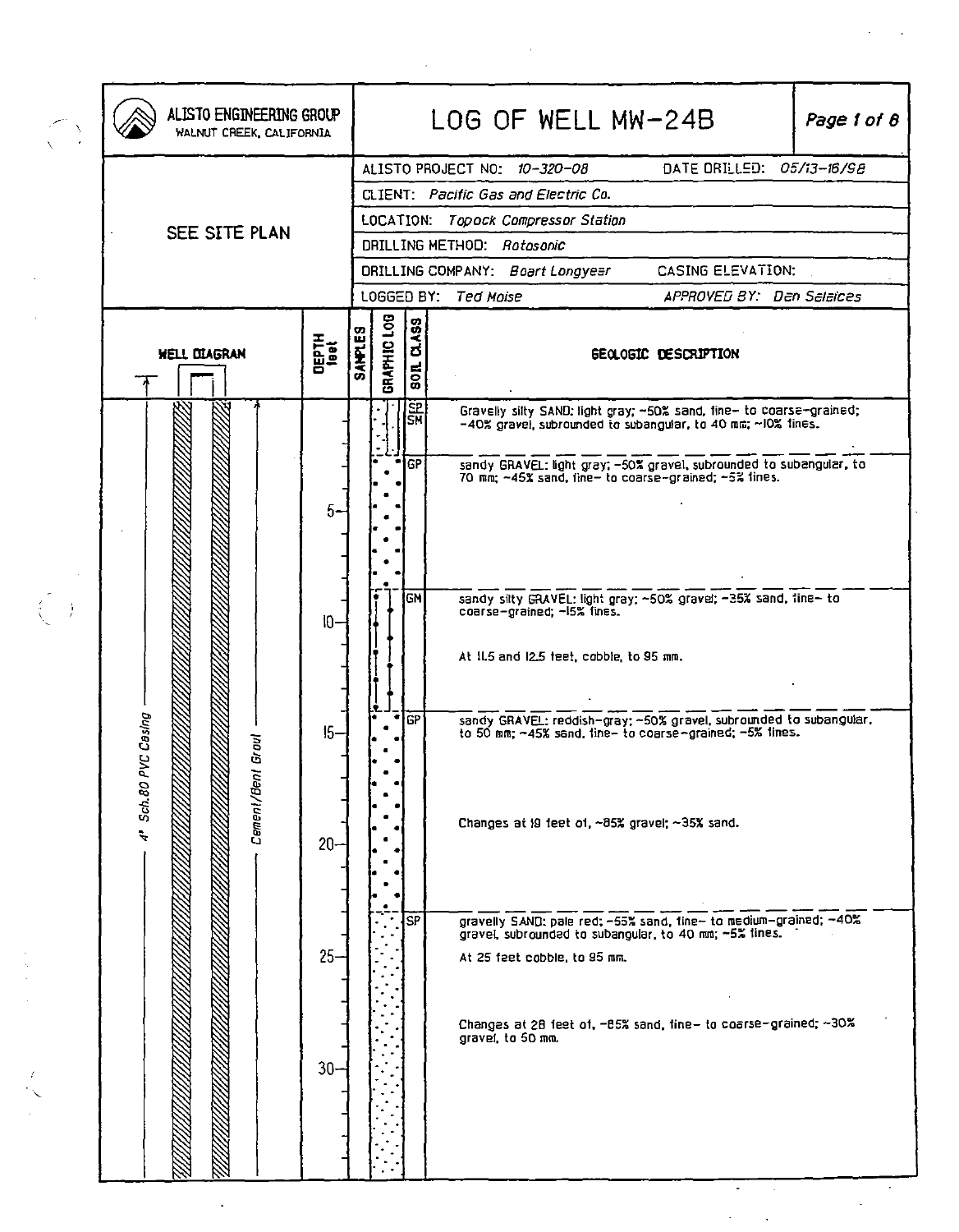| ALISTO ENGINEERING GROUP<br>WALNUT CREEK, CALIFORNIA |                              | LOG OF WELL MW-24B                                                                                                                                                                                                                                                                                   | Page 1 of 8 |  |  |  |  |
|------------------------------------------------------|------------------------------|------------------------------------------------------------------------------------------------------------------------------------------------------------------------------------------------------------------------------------------------------------------------------------------------------|-------------|--|--|--|--|
| SEE SITE PLAN                                        |                              | ALISTO PROJECT NO: 10-320-08<br>DATE DRILLED: 05/13-16/98<br>CLIENT: Pacific Gas and Electric Co.<br>LOCATION: Topock Compressor Station<br>DRILLING METHOD: Rotosonic<br>CASING ELEVATION:<br>DRILLING COMPANY: Boart Longyesr<br>LOGGED BY: Ted Moise<br>APPROVED BY: Den Seleices                 |             |  |  |  |  |
| <b>WELL DIAGRAN</b>                                  | <b>DEPTH</b><br><b>fleet</b> | GRAPHIC LOG<br><b>DLASS</b><br><b>SANPLES</b><br>GEOLOGIC DESCRIPTION<br>$rac{1}{2}$                                                                                                                                                                                                                 |             |  |  |  |  |
|                                                      | 5.                           | <b>SH</b><br>Gravelly silty SAND: light gray; ~50% sand, fine- to coarse-grained;<br>-40% gravel, subrounded to subangular, to 40 mm; ~10% fines.<br>$\overline{SP}$<br>sandy GRAVEL: light gray: -50% gravel, subrounded to subangular, to<br>70 mm; ~45% sand, line- to coarse-grained; ~5% lines. |             |  |  |  |  |
|                                                      | 10-                          | łGМ<br>sandy sitty GRAVEL: light gray; ~50% gravel; -35% sand, tine- to<br>coarse-grained; -15% lines.<br>At 11.5 and 12.5 teet, cobble, to 95 mm.                                                                                                                                                   |             |  |  |  |  |
| PVC Casing<br><b>Grout</b>                           | $15-$                        | " GP<br>sandy GRAVEL: reddish-gray: ~50% gravel, subrounded to subangular, to 50 mm; ~45% sand, tine- to coarse-grained; ~5% tines.                                                                                                                                                                  |             |  |  |  |  |
| Cement/Ben<br>4" Sch.80                              | $20-$                        | Changes at 19 feet of, ~85% gravel; ~35% sand.                                                                                                                                                                                                                                                       |             |  |  |  |  |
|                                                      | 25 <sub>1</sub>              | SР<br>gravelly SAND: pale red; -55% sand, fine- to medium-grained; -40%<br>gravel, subrounded to subangular, to 40 nm; ~5% fines.<br>At 25 feet cobble, to 95 mm.                                                                                                                                    |             |  |  |  |  |
|                                                      | $30-$                        | Changes at 28 feet of, -85% sand, fine- to coarse-grained; ~30%<br>gravel, to 50 mm.                                                                                                                                                                                                                 |             |  |  |  |  |

 $\mathcal{O}(\sqrt{2})$ 

 $\label{eq:2.1} \frac{1}{2} \sum_{i=1}^n \frac{1}{2} \sum_{j=1}^n \frac{1}{2} \sum_{j=1}^n \frac{1}{2} \sum_{j=1}^n \frac{1}{2} \sum_{j=1}^n \frac{1}{2} \sum_{j=1}^n \frac{1}{2} \sum_{j=1}^n \frac{1}{2} \sum_{j=1}^n \frac{1}{2} \sum_{j=1}^n \frac{1}{2} \sum_{j=1}^n \frac{1}{2} \sum_{j=1}^n \frac{1}{2} \sum_{j=1}^n \frac{1}{2} \sum_{j=1}^n \frac{$ 

 $\hat{c} = \hat{c}$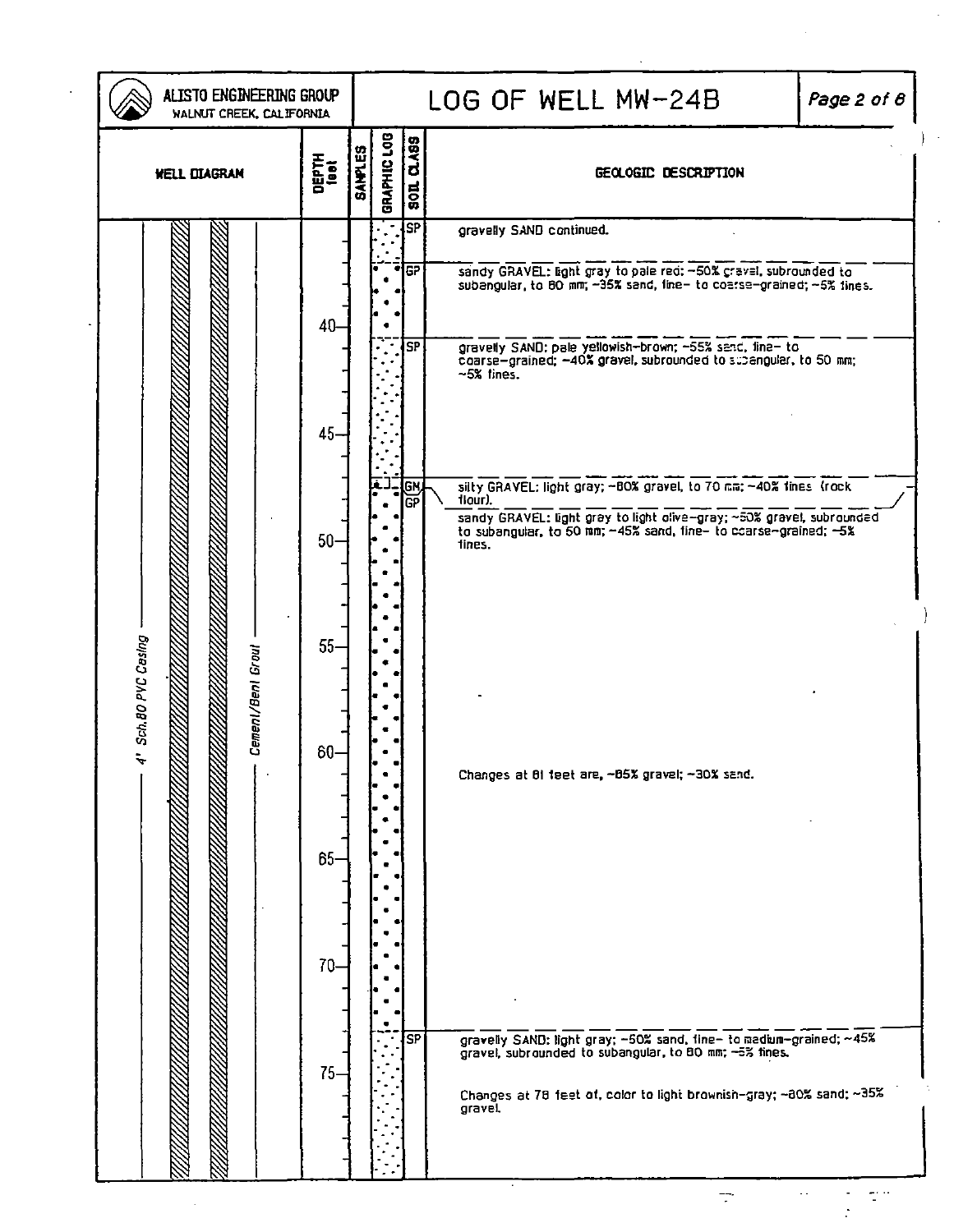| ALISTO ENGINEERING GROUP<br>WALNUT CREEK, CALIFORNIA              |                            | LOG OF WELL MW-24B<br>Page 2 of 8 |             |                          |                                                                                                                                                     |  |  |
|-------------------------------------------------------------------|----------------------------|-----------------------------------|-------------|--------------------------|-----------------------------------------------------------------------------------------------------------------------------------------------------|--|--|
| <b>SANPLES</b><br>DEPTH<br><sup>1881</sup><br><b>WELL DIAGRAM</b> |                            |                                   | BRAPHIC LOB | <b>SOL CLASS</b>         | GEOLOGIC DESCRIPTION                                                                                                                                |  |  |
|                                                                   |                            |                                   |             | $\overline{\mathsf{SP}}$ | gravelly SAND continued.                                                                                                                            |  |  |
|                                                                   |                            |                                   |             | $\overline{G}$           | sandy GRAVEL: light gray to pale red: -50% cravel, subrounded to<br>subangular, to 80 mm; -35% sand, line- to coarse-grained; -5% lines.            |  |  |
|                                                                   | 40                         |                                   |             | SΡ                       | $-5%$ lines.                                                                                                                                        |  |  |
|                                                                   | $45 -$                     |                                   |             |                          |                                                                                                                                                     |  |  |
|                                                                   |                            |                                   |             | G۲<br>GP                 | silty GRAVEL: light gray; ~80% gravel, to 70 mm; ~40% fines (rock<br>tlour).                                                                        |  |  |
|                                                                   | $50 -$                     |                                   |             |                          | sandy GRAVEL: light gray to light olive-gray; ~50% gravel, subrounded<br>to subangular, to 50 mm; -45% sand, fine- to coarse-grained; -5%<br>fines. |  |  |
|                                                                   | $55-$<br>Cement/Bent Grout |                                   |             |                          |                                                                                                                                                     |  |  |
| Sch.80 PVC Casing                                                 |                            |                                   |             |                          |                                                                                                                                                     |  |  |
|                                                                   | ຂດ                         |                                   |             |                          | Changes at 61 feet are, ~65% gravel; ~30% send.                                                                                                     |  |  |
|                                                                   | 65-                        |                                   |             |                          |                                                                                                                                                     |  |  |
|                                                                   |                            |                                   |             |                          |                                                                                                                                                     |  |  |
|                                                                   | 70-                        |                                   |             |                          |                                                                                                                                                     |  |  |
|                                                                   |                            |                                   |             | $\overline{\mathsf{SP}}$ | gravelly SAND: light gray; -50% sand, fine- to medium-grained; ~45%<br>gravel, subrounded to subangular, to 80 mm; -5% fines.                       |  |  |
|                                                                   | $75 -$                     |                                   |             |                          | Changes at 78 feet of, color to light brownish-gray; ~80% sand; ~35%<br>gravel.                                                                     |  |  |
|                                                                   |                            |                                   |             |                          |                                                                                                                                                     |  |  |

 $\mathcal{L}$ 

 $\frac{1}{2}$ 

 $\hat{\mathcal{L}}$ 

 $\hat{\mathcal{A}}$ 

 $\ddot{\cdot}$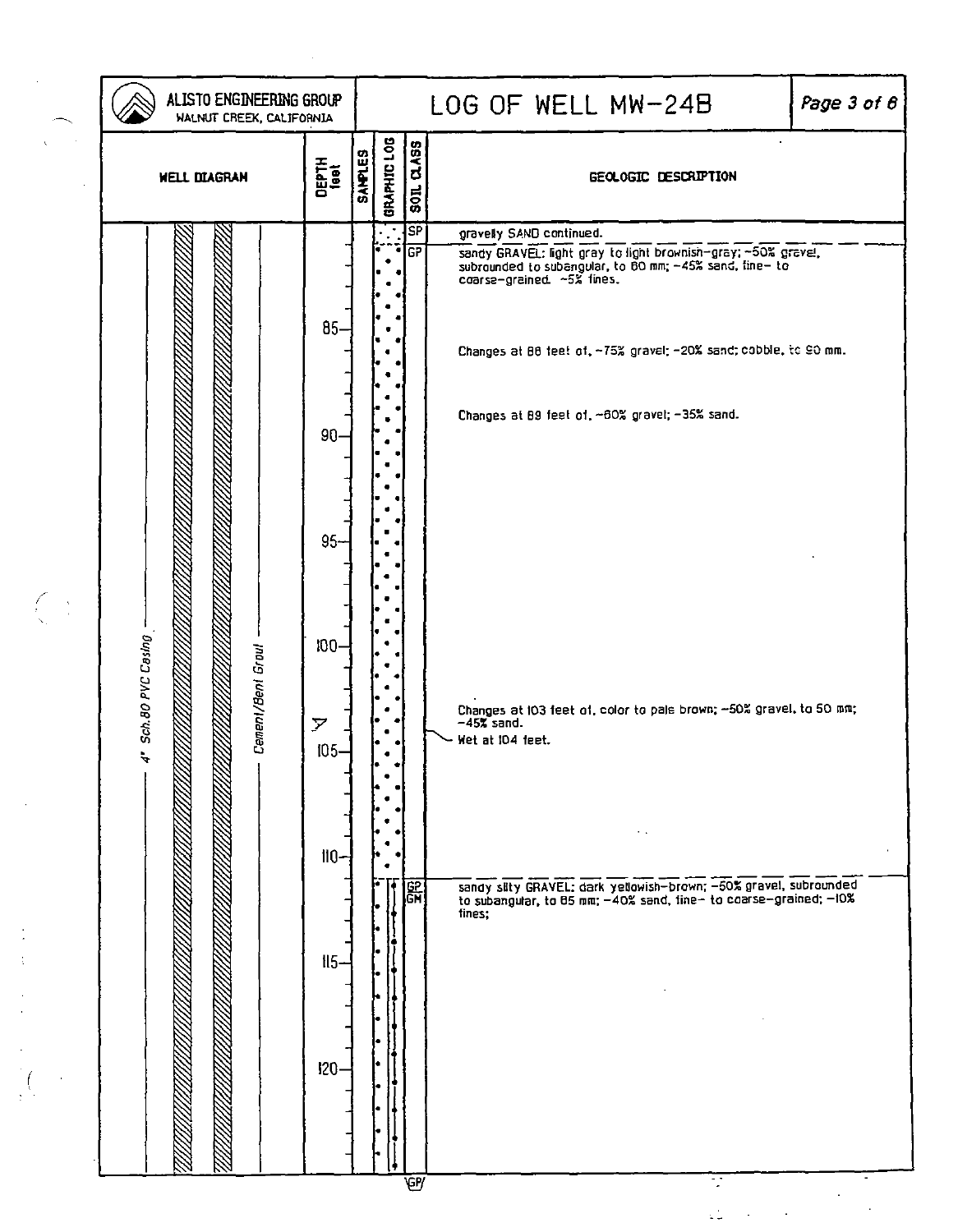| <b>WELL DIAGRAM</b>                       | <b>SANPLES</b><br>DEPTH<br><sup>1</sup> eet                                     |  |             |                                                                | GEOLOGIC DESCRIPTION                                                                                                                                                                                                                                                                                                                                                                                                                                                                                                                                                |
|-------------------------------------------|---------------------------------------------------------------------------------|--|-------------|----------------------------------------------------------------|---------------------------------------------------------------------------------------------------------------------------------------------------------------------------------------------------------------------------------------------------------------------------------------------------------------------------------------------------------------------------------------------------------------------------------------------------------------------------------------------------------------------------------------------------------------------|
| 4" Sch.80 PVC Casing<br>Cement/Bent Grout | $85 -$<br>$90-$<br>$95 -$<br>$100 -$<br>Z<br>105<br>$110 -$<br>$15-$<br>$120 -$ |  | GRAPHIC LOG | $\frac{1}{200}$ $\frac{100}{200}$<br>TSP<br>न्ता-<br><b>SH</b> | gravely SAND continued.<br>sandy GRAVEL: light gray to light brownish-gray; ~50% gravel,<br>subrounded to subengular, to 60 mm; ~45% sand, tine- to<br>coarse-grained. ~5% fines.<br>Changes at 86 feet of, ~75% gravel; -20% sand; cobble, to 90 mm.<br>Changes at 89 feet of, ~60% gravel; -35% sand.<br>Changes at 103 feet of, color to pale brown; ~50% gravel, to 50 mm;<br>~45% sand.<br>Wet at 104 feet.<br>sandy sity GRAVEL: dark yellowish-brown; -50% gravel, subrounded<br>to subangular, to 65 mm; -40% sand, fine- to coarse-grained; -10%<br>fines; |

 $\mathcal{L}^{\text{max}}_{\text{max}}$ 

 $\sim$   $\sim$ 

 $\frac{1}{2} \int_{0}^{2\pi} \frac{1}{2} \, dx$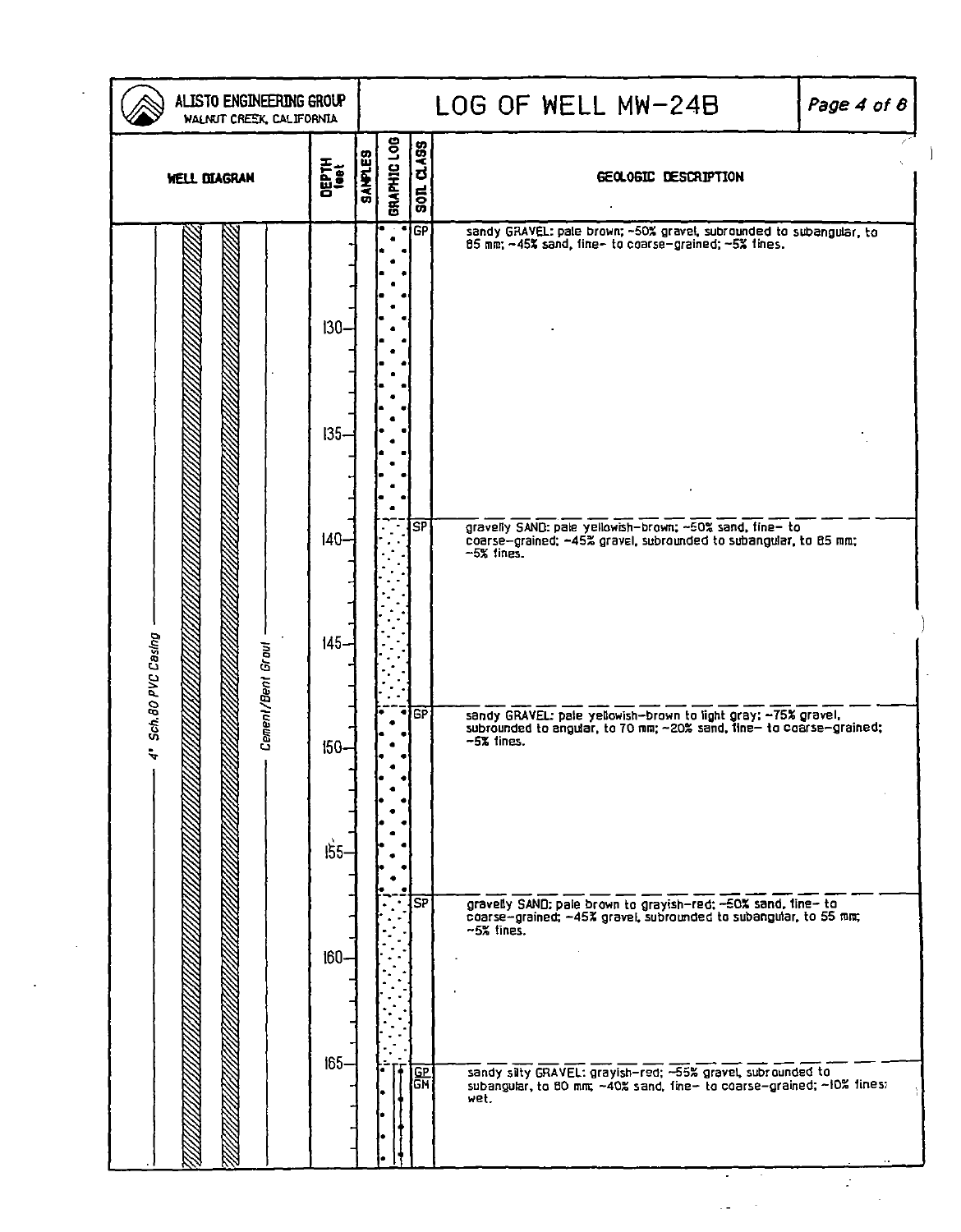| ALISTO ENGINEERING GROUP<br>WALNUT CREEK, CALIFORNIA |                             |                | LOG OF WELL MW-24B<br>Page 4 of $\theta$                                                                                                             |                                                                                                                                                  |  |  |  |  |  |  |
|------------------------------------------------------|-----------------------------|----------------|------------------------------------------------------------------------------------------------------------------------------------------------------|--------------------------------------------------------------------------------------------------------------------------------------------------|--|--|--|--|--|--|
| <b>WELL DIAGRAN</b>                                  | <b>DEPTH</b><br><b>Lest</b> | <b>SANPLES</b> | <b>GRAPHIC LOG</b><br>SON DLASS                                                                                                                      | GEOLOGIC DESCRIPTION                                                                                                                             |  |  |  |  |  |  |
|                                                      | $130 -$                     |                | <b>GP</b>                                                                                                                                            | sandy GRAVEL: pale brown; ~50% gravel, subrounded to subangular, to<br>85 mm; ~45% sand, fine- to coarse-grained; ~5% fines.                     |  |  |  |  |  |  |
|                                                      | $135 -$                     |                |                                                                                                                                                      |                                                                                                                                                  |  |  |  |  |  |  |
|                                                      | $140-$                      |                | SP                                                                                                                                                   | gravelly SAND: pale yellowish-brown; ~50% sand, fine- to<br>coarse-grained; ~45% gravel, subrounded to subangular, to 85 mm;<br>$-5x$ fines.     |  |  |  |  |  |  |
| 4' Sch.80 PVC Casing<br>Cement/Bent Grout            | $145 -$                     |                |                                                                                                                                                      |                                                                                                                                                  |  |  |  |  |  |  |
|                                                      | $150 -$                     | <b>GP</b>      | sandy GRAVEL: pale yellowish-brown to light gray; -75% gravel,<br>subrounded to angular, to 70 mm; ~20% sand, line- to coarse-grained;<br>-5% tines. |                                                                                                                                                  |  |  |  |  |  |  |
|                                                      | $155 -$                     |                | $\overline{\mathsf{SP}}$                                                                                                                             |                                                                                                                                                  |  |  |  |  |  |  |
|                                                      | $160 -$                     |                |                                                                                                                                                      | gravely SAND; pale brown to grayish-red; -50% sand, line- to<br>coarse-grained; -45% gravel, subrounded to subangular, to 55 mm;<br>$-5%$ fines. |  |  |  |  |  |  |
|                                                      | $165 -$                     |                | GP<br>GМ                                                                                                                                             | sandy silty GRAVEL: grayish-red; -55% gravel, subrounded to<br>subangular, to 80 mm; ~40% sand, fine- to coarse-grained; ~10% fines;<br>wet.     |  |  |  |  |  |  |
|                                                      |                             |                |                                                                                                                                                      |                                                                                                                                                  |  |  |  |  |  |  |

 $\mathbb{Z}^2$ 

 $\Delta \sim 1$ 

 $\sim$ 

 $\epsilon$ 

 $\mathcal{L}_{\mathbf{m}} = \{ \mathcal{L}_{\mathbf{m}} \}$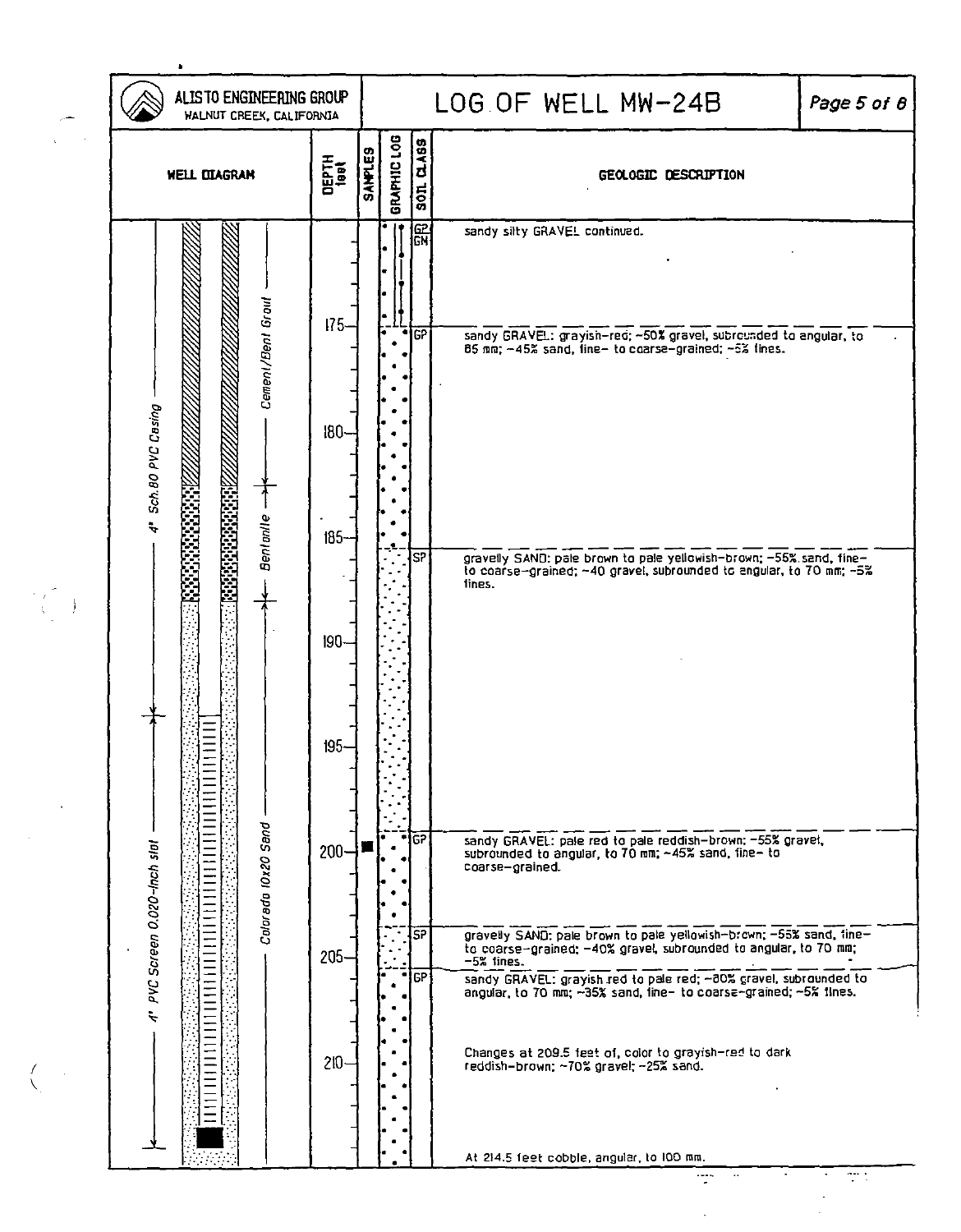| WALNUT CREEK, CALIFORNIA                                                                                                                                                | ALISTO ENGINEERING GROUP                                             |                | LOG OF WELL MW-24B<br>Page 5 of 8 |                                             |                                                                                                                                                                                                                                                                                                                                                                                                                                                                                                                                                                                                                                                                                                                                                                                                                                                                                                               |  |  |  |  |
|-------------------------------------------------------------------------------------------------------------------------------------------------------------------------|----------------------------------------------------------------------|----------------|-----------------------------------|---------------------------------------------|---------------------------------------------------------------------------------------------------------------------------------------------------------------------------------------------------------------------------------------------------------------------------------------------------------------------------------------------------------------------------------------------------------------------------------------------------------------------------------------------------------------------------------------------------------------------------------------------------------------------------------------------------------------------------------------------------------------------------------------------------------------------------------------------------------------------------------------------------------------------------------------------------------------|--|--|--|--|
| <b>WELL DIAGRAN</b>                                                                                                                                                     | DEPTH<br>1991                                                        | <b>SANPLES</b> | <b>GRAPHIC LOG</b>                | $\frac{1}{2}$<br>ន្ត្រី                     | GEOLOGIC DESCRIPTION                                                                                                                                                                                                                                                                                                                                                                                                                                                                                                                                                                                                                                                                                                                                                                                                                                                                                          |  |  |  |  |
| Cement/Bent Grout<br>" Sch. 80 PVC Casing<br><b>Bentantle</b><br><u>FIFTH FIFTH FIFTH THE FIFTH FIFTH FIFTH</u><br>Colorado IOx20 Sand<br>4" PVC Screen 0.020-Inch slot | $175 -$<br>180<br>185<br>$190 -$<br>$195 -$<br>$200 -$<br>205<br>210 |                | ь<br>٠                            | 慍<br>¶∙⊺<br>SP]<br>1GP<br><b>SP</b><br>T GP | sandy silty GRAVEL continued.<br>sandy GRAVEL: grayish-red; ~50% gravel, subrounded to angular, to<br>85 mm; -45% sand, fine- to coarse-grained; ~5% fines.<br>gravelly SAND: pale brown to pale yellowish-brown; -55% sand, fine-<br>to coarse-grained; ~40 gravel, subrounded to angular, to 70 mm; -5%<br>lines.<br>sandy GRAVEL: pale red to pale reddish-brown; -55% gravet, subrounded to angular, to 70 mm; ~45% sand, fine- to<br>coarse-grained.<br>gravelly SAND: pale brown to pale yellowish-brown; -55% sand, fine-<br>to coarse-grained; -40% gravel, subrounded to angular, to 70 mm;<br>-5% lines.<br>sandy GRAVEL: grayish red to pale red; ~80% gravel, subrounded to<br>angular, to 70 mm; -35% sand, line- to coarse-grained; ~5% tines.<br>Changes at 209.5 feet of, color to grayish-red to dark<br>reddish-brown; ~70% gravel; ~25% sand.<br>At 214.5 feet cobble, angular, to IOO mm. |  |  |  |  |